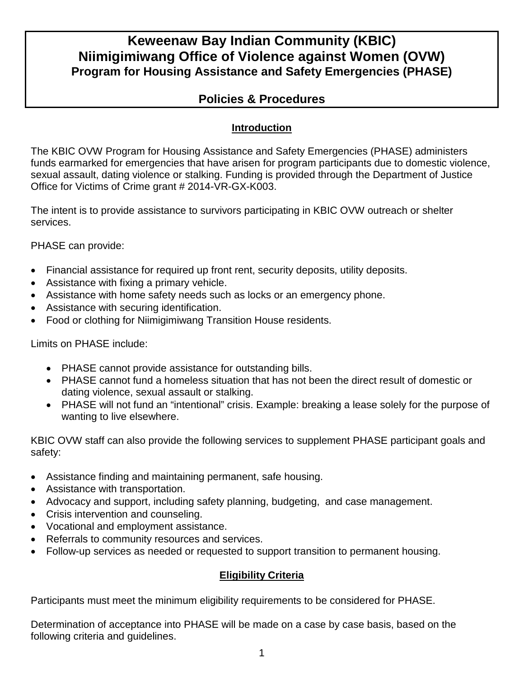# **Keweenaw Bay Indian Community (KBIC) Niimigimiwang Office of Violence against Women (OVW) Program for Housing Assistance and Safety Emergencies (PHASE)**

# **Policies & Procedures**

# **Introduction**

The KBIC OVW Program for Housing Assistance and Safety Emergencies (PHASE) administers funds earmarked for emergencies that have arisen for program participants due to domestic violence, sexual assault, dating violence or stalking. Funding is provided through the Department of Justice Office for Victims of Crime grant # 2014-VR-GX-K003.

The intent is to provide assistance to survivors participating in KBIC OVW outreach or shelter services.

PHASE can provide:

- Financial assistance for required up front rent, security deposits, utility deposits.
- Assistance with fixing a primary vehicle.
- Assistance with home safety needs such as locks or an emergency phone.
- Assistance with securing identification.
- Food or clothing for Niimigimiwang Transition House residents.

Limits on PHASE include:

- PHASE cannot provide assistance for outstanding bills.
- PHASE cannot fund a homeless situation that has not been the direct result of domestic or dating violence, sexual assault or stalking.
- PHASE will not fund an "intentional" crisis. Example: breaking a lease solely for the purpose of wanting to live elsewhere.

KBIC OVW staff can also provide the following services to supplement PHASE participant goals and safety:

- Assistance finding and maintaining permanent, safe housing.
- Assistance with transportation.
- Advocacy and support, including safety planning, budgeting, and case management.
- Crisis intervention and counseling.
- Vocational and employment assistance.
- Referrals to community resources and services.
- Follow-up services as needed or requested to support transition to permanent housing.

# **Eligibility Criteria**

Participants must meet the minimum eligibility requirements to be considered for PHASE.

Determination of acceptance into PHASE will be made on a case by case basis, based on the following criteria and guidelines.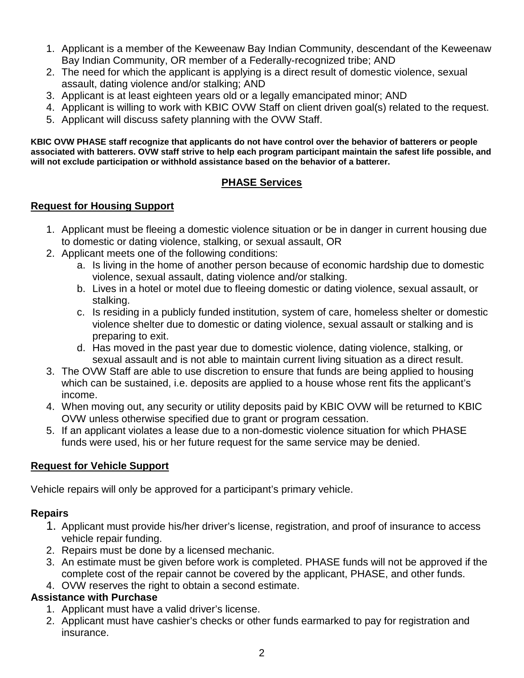- 1. Applicant is a member of the Keweenaw Bay Indian Community, descendant of the Keweenaw Bay Indian Community, OR member of a Federally-recognized tribe; AND
- 2. The need for which the applicant is applying is a direct result of domestic violence, sexual assault, dating violence and/or stalking; AND
- 3. Applicant is at least eighteen years old or a legally emancipated minor; AND
- 4. Applicant is willing to work with KBIC OVW Staff on client driven goal(s) related to the request.
- 5. Applicant will discuss safety planning with the OVW Staff.

**KBIC OVW PHASE staff recognize that applicants do not have control over the behavior of batterers or people associated with batterers. OVW staff strive to help each program participant maintain the safest life possible, and will not exclude participation or withhold assistance based on the behavior of a batterer.**

## **PHASE Services**

#### **Request for Housing Support**

- 1. Applicant must be fleeing a domestic violence situation or be in danger in current housing due to domestic or dating violence, stalking, or sexual assault, OR
- 2. Applicant meets one of the following conditions:
	- a. Is living in the home of another person because of economic hardship due to domestic violence, sexual assault, dating violence and/or stalking.
	- b. Lives in a hotel or motel due to fleeing domestic or dating violence, sexual assault, or stalking.
	- c. Is residing in a publicly funded institution, system of care, homeless shelter or domestic violence shelter due to domestic or dating violence, sexual assault or stalking and is preparing to exit.
	- d. Has moved in the past year due to domestic violence, dating violence, stalking, or sexual assault and is not able to maintain current living situation as a direct result.
- 3. The OVW Staff are able to use discretion to ensure that funds are being applied to housing which can be sustained, i.e. deposits are applied to a house whose rent fits the applicant's income.
- 4. When moving out, any security or utility deposits paid by KBIC OVW will be returned to KBIC OVW unless otherwise specified due to grant or program cessation.
- 5. If an applicant violates a lease due to a non-domestic violence situation for which PHASE funds were used, his or her future request for the same service may be denied.

## **Request for Vehicle Support**

Vehicle repairs will only be approved for a participant's primary vehicle.

#### **Repairs**

- 1. Applicant must provide his/her driver's license, registration, and proof of insurance to access vehicle repair funding.
- 2. Repairs must be done by a licensed mechanic.
- 3. An estimate must be given before work is completed. PHASE funds will not be approved if the complete cost of the repair cannot be covered by the applicant, PHASE, and other funds.
- 4. OVW reserves the right to obtain a second estimate.

## **Assistance with Purchase**

- 1. Applicant must have a valid driver's license.
- 2. Applicant must have cashier's checks or other funds earmarked to pay for registration and insurance.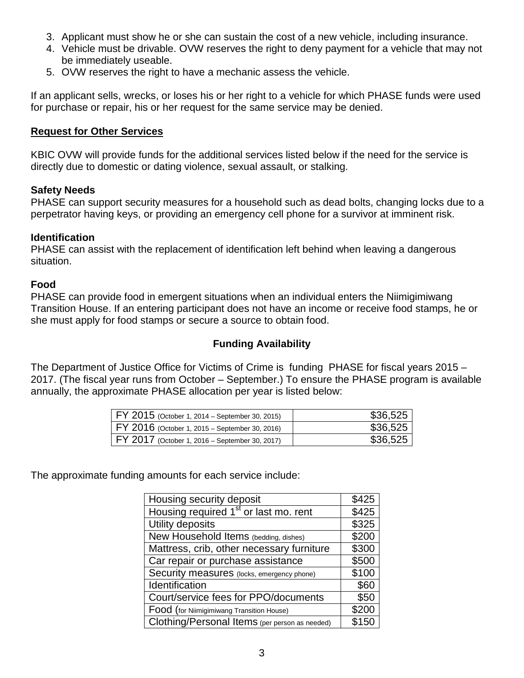- 3. Applicant must show he or she can sustain the cost of a new vehicle, including insurance.
- 4. Vehicle must be drivable. OVW reserves the right to deny payment for a vehicle that may not be immediately useable.
- 5. OVW reserves the right to have a mechanic assess the vehicle.

If an applicant sells, wrecks, or loses his or her right to a vehicle for which PHASE funds were used for purchase or repair, his or her request for the same service may be denied.

#### **Request for Other Services**

KBIC OVW will provide funds for the additional services listed below if the need for the service is directly due to domestic or dating violence, sexual assault, or stalking.

### **Safety Needs**

PHASE can support security measures for a household such as dead bolts, changing locks due to a perpetrator having keys, or providing an emergency cell phone for a survivor at imminent risk.

## **Identification**

PHASE can assist with the replacement of identification left behind when leaving a dangerous situation.

### **Food**

PHASE can provide food in emergent situations when an individual enters the Niimigimiwang Transition House. If an entering participant does not have an income or receive food stamps, he or she must apply for food stamps or secure a source to obtain food.

# **Funding Availability**

The Department of Justice Office for Victims of Crime is funding PHASE for fiscal years 2015 – 2017. (The fiscal year runs from October – September.) To ensure the PHASE program is available annually, the approximate PHASE allocation per year is listed below:

| $\mid$ FY 2015 (October 1, 2014 – September 30, 2015) | \$36,525 |
|-------------------------------------------------------|----------|
| FY 2016 (October 1, 2015 – September 30, 2016)        | \$36,525 |
| FY 2017 (October 1, 2016 – September 30, 2017)        | \$36,525 |

The approximate funding amounts for each service include:

| Housing security deposit                          | \$425 |
|---------------------------------------------------|-------|
| Housing required 1 <sup>st</sup> or last mo. rent | \$425 |
| Utility deposits                                  | \$325 |
| New Household Items (bedding, dishes)             | \$200 |
| Mattress, crib, other necessary furniture         | \$300 |
| Car repair or purchase assistance                 | \$500 |
| Security measures (locks, emergency phone)        | \$100 |
| Identification                                    | \$60  |
| Court/service fees for PPO/documents              | \$50  |
| Food (for Niimigimiwang Transition House)         | \$200 |
| Clothing/Personal Items (per person as needed)    | \$150 |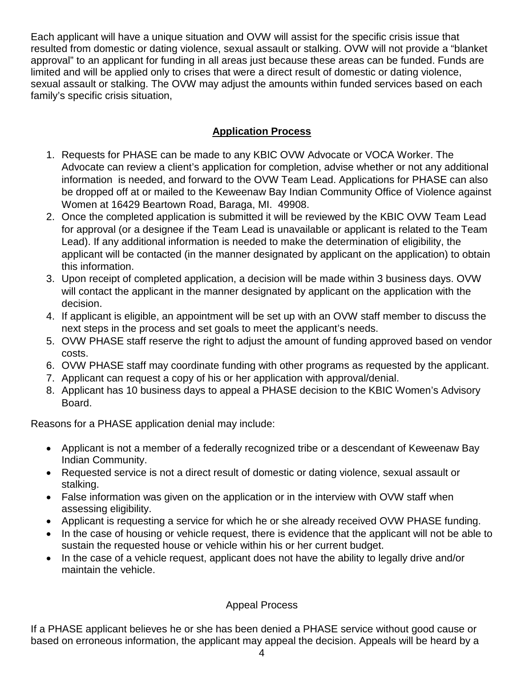Each applicant will have a unique situation and OVW will assist for the specific crisis issue that resulted from domestic or dating violence, sexual assault or stalking. OVW will not provide a "blanket approval" to an applicant for funding in all areas just because these areas can be funded. Funds are limited and will be applied only to crises that were a direct result of domestic or dating violence, sexual assault or stalking. The OVW may adjust the amounts within funded services based on each family's specific crisis situation,

# **Application Process**

- 1. Requests for PHASE can be made to any KBIC OVW Advocate or VOCA Worker. The Advocate can review a client's application for completion, advise whether or not any additional information is needed, and forward to the OVW Team Lead. Applications for PHASE can also be dropped off at or mailed to the Keweenaw Bay Indian Community Office of Violence against Women at 16429 Beartown Road, Baraga, MI. 49908.
- 2. Once the completed application is submitted it will be reviewed by the KBIC OVW Team Lead for approval (or a designee if the Team Lead is unavailable or applicant is related to the Team Lead). If any additional information is needed to make the determination of eligibility, the applicant will be contacted (in the manner designated by applicant on the application) to obtain this information.
- 3. Upon receipt of completed application, a decision will be made within 3 business days. OVW will contact the applicant in the manner designated by applicant on the application with the decision.
- 4. If applicant is eligible, an appointment will be set up with an OVW staff member to discuss the next steps in the process and set goals to meet the applicant's needs.
- 5. OVW PHASE staff reserve the right to adjust the amount of funding approved based on vendor costs.
- 6. OVW PHASE staff may coordinate funding with other programs as requested by the applicant.
- 7. Applicant can request a copy of his or her application with approval/denial.
- 8. Applicant has 10 business days to appeal a PHASE decision to the KBIC Women's Advisory Board.

Reasons for a PHASE application denial may include:

- Applicant is not a member of a federally recognized tribe or a descendant of Keweenaw Bay Indian Community.
- Requested service is not a direct result of domestic or dating violence, sexual assault or stalking.
- False information was given on the application or in the interview with OVW staff when assessing eligibility.
- Applicant is requesting a service for which he or she already received OVW PHASE funding.
- In the case of housing or vehicle request, there is evidence that the applicant will not be able to sustain the requested house or vehicle within his or her current budget.
- In the case of a vehicle request, applicant does not have the ability to legally drive and/or maintain the vehicle.

# Appeal Process

If a PHASE applicant believes he or she has been denied a PHASE service without good cause or based on erroneous information, the applicant may appeal the decision. Appeals will be heard by a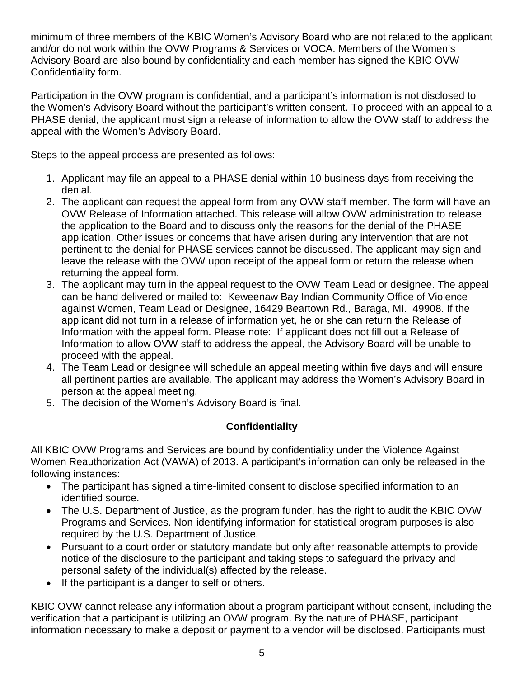minimum of three members of the KBIC Women's Advisory Board who are not related to the applicant and/or do not work within the OVW Programs & Services or VOCA. Members of the Women's Advisory Board are also bound by confidentiality and each member has signed the KBIC OVW Confidentiality form.

Participation in the OVW program is confidential, and a participant's information is not disclosed to the Women's Advisory Board without the participant's written consent. To proceed with an appeal to a PHASE denial, the applicant must sign a release of information to allow the OVW staff to address the appeal with the Women's Advisory Board.

Steps to the appeal process are presented as follows:

- 1. Applicant may file an appeal to a PHASE denial within 10 business days from receiving the denial.
- 2. The applicant can request the appeal form from any OVW staff member. The form will have an OVW Release of Information attached. This release will allow OVW administration to release the application to the Board and to discuss only the reasons for the denial of the PHASE application. Other issues or concerns that have arisen during any intervention that are not pertinent to the denial for PHASE services cannot be discussed. The applicant may sign and leave the release with the OVW upon receipt of the appeal form or return the release when returning the appeal form.
- 3. The applicant may turn in the appeal request to the OVW Team Lead or designee. The appeal can be hand delivered or mailed to: Keweenaw Bay Indian Community Office of Violence against Women, Team Lead or Designee, 16429 Beartown Rd., Baraga, MI. 49908. If the applicant did not turn in a release of information yet, he or she can return the Release of Information with the appeal form. Please note: If applicant does not fill out a Release of Information to allow OVW staff to address the appeal, the Advisory Board will be unable to proceed with the appeal.
- 4. The Team Lead or designee will schedule an appeal meeting within five days and will ensure all pertinent parties are available. The applicant may address the Women's Advisory Board in person at the appeal meeting.
- 5. The decision of the Women's Advisory Board is final.

# **Confidentiality**

All KBIC OVW Programs and Services are bound by confidentiality under the Violence Against Women Reauthorization Act (VAWA) of 2013. A participant's information can only be released in the following instances:

- The participant has signed a time-limited consent to disclose specified information to an identified source.
- The U.S. Department of Justice, as the program funder, has the right to audit the KBIC OVW Programs and Services. Non-identifying information for statistical program purposes is also required by the U.S. Department of Justice.
- Pursuant to a court order or statutory mandate but only after reasonable attempts to provide notice of the disclosure to the participant and taking steps to safeguard the privacy and personal safety of the individual(s) affected by the release.
- If the participant is a danger to self or others.

KBIC OVW cannot release any information about a program participant without consent, including the verification that a participant is utilizing an OVW program. By the nature of PHASE, participant information necessary to make a deposit or payment to a vendor will be disclosed. Participants must